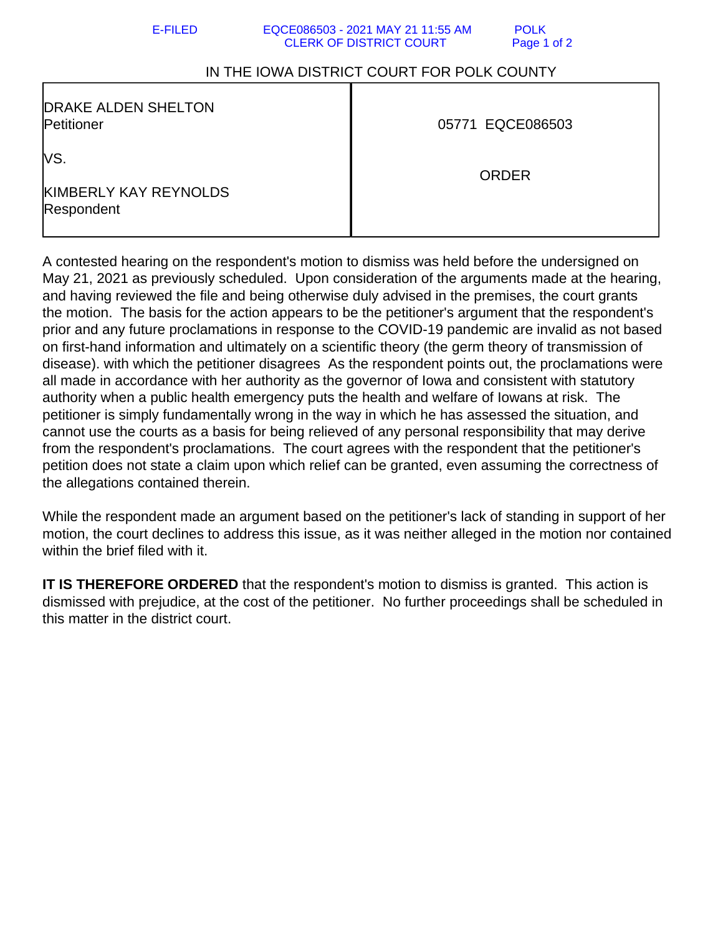## E-FILED EQCE086503 - 2021 MAY 21 11:55 AM POLK CLERK OF DISTRICT COURT Page 1 of 2

## IN THE IOWA DISTRICT COURT FOR POLK COUNTY

| <b>DRAKE ALDEN SHELTON</b><br>Petitioner    | 05771 EQCE086503 |
|---------------------------------------------|------------------|
| lVS.<br>KIMBERLY KAY REYNOLDS<br>Respondent | <b>ORDER</b>     |

A contested hearing on the respondent's motion to dismiss was held before the undersigned on May 21, 2021 as previously scheduled. Upon consideration of the arguments made at the hearing, and having reviewed the file and being otherwise duly advised in the premises, the court grants the motion. The basis for the action appears to be the petitioner's argument that the respondent's prior and any future proclamations in response to the COVID-19 pandemic are invalid as not based on first-hand information and ultimately on a scientific theory (the germ theory of transmission of disease). with which the petitioner disagrees As the respondent points out, the proclamations were all made in accordance with her authority as the governor of Iowa and consistent with statutory authority when a public health emergency puts the health and welfare of Iowans at risk. The petitioner is simply fundamentally wrong in the way in which he has assessed the situation, and cannot use the courts as a basis for being relieved of any personal responsibility that may derive from the respondent's proclamations. The court agrees with the respondent that the petitioner's petition does not state a claim upon which relief can be granted, even assuming the correctness of the allegations contained therein.

While the respondent made an argument based on the petitioner's lack of standing in support of her motion, the court declines to address this issue, as it was neither alleged in the motion nor contained within the brief filed with it.

**IT IS THEREFORE ORDERED** that the respondent's motion to dismiss is granted. This action is dismissed with prejudice, at the cost of the petitioner. No further proceedings shall be scheduled in this matter in the district court.